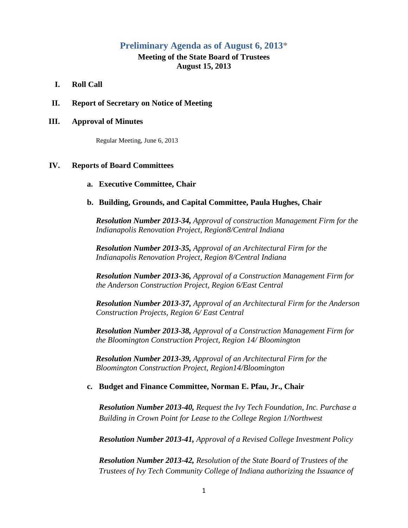# **Preliminary Agenda as of August 6, 2013\***

# **Meeting of the State Board of Trustees August 15, 2013**

- **I. Roll Call**
- **II. Report of Secretary on Notice of Meeting**

#### **III. Approval of Minutes**

Regular Meeting, June 6, 2013

#### **IV. Reports of Board Committees**

#### **a. Executive Committee, Chair**

# **b. Building, Grounds, and Capital Committee, Paula Hughes, Chair**

*Resolution Number 2013-34, Approval of construction Management Firm for the Indianapolis Renovation Project, Region8/Central Indiana*

*Resolution Number 2013-35, Approval of an Architectural Firm for the Indianapolis Renovation Project, Region 8/Central Indiana*

*Resolution Number 2013-36, Approval of a Construction Management Firm for the Anderson Construction Project, Region 6/East Central*

*Resolution Number 2013-37, Approval of an Architectural Firm for the Anderson Construction Projects, Region 6/ East Central*

*Resolution Number 2013-38, Approval of a Construction Management Firm for the Bloomington Construction Project, Region 14/ Bloomington*

*Resolution Number 2013-39, Approval of an Architectural Firm for the Bloomington Construction Project, Region14/Bloomington*

# **c. Budget and Finance Committee, Norman E. Pfau, Jr., Chair**

*Resolution Number 2013-40, Request the Ivy Tech Foundation, Inc. Purchase a Building in Crown Point for Lease to the College Region 1/Northwest*

*Resolution Number 2013-41, Approval of a Revised College Investment Policy*

*Resolution Number 2013-42, Resolution of the State Board of Trustees of the Trustees of Ivy Tech Community College of Indiana authorizing the Issuance of*